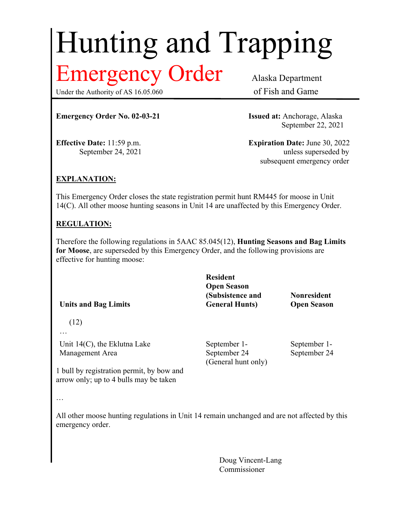# Hunting and Trapping

# Emergency Order Alaska Department

Under the Authority of AS 16.05.060 of Fish and Game

**Emergency Order No. 02-03-21 Issued at:** Anchorage, Alaska

September 22, 2021

**Effective Date:** 11:59 p.m. **Expiration Date:** June 30, 2022 September 24, 2021 unless superseded by subsequent emergency order

## **EXPLANATION:**

This Emergency Order closes the state registration permit hunt RM445 for moose in Unit 14(C). All other moose hunting seasons in Unit 14 are unaffected by this Emergency Order.

### **REGULATION:**

Therefore the following regulations in 5AAC 85.045(12), **Hunting Seasons and Bag Limits for Moose**, are superseded by this Emergency Order, and the following provisions are effective for hunting moose:

**Units and Bag Limits Resident Open Season (Subsistence and General Hunts) Nonresident Open Season** (12) … Unit 14(C), the Eklutna Lake Management Area September 1- September 24 (General hunt only) September 1- September 24 1 bull by registration permit, by bow and arrow only; up to 4 bulls may be taken

…

All other moose hunting regulations in Unit 14 remain unchanged and are not affected by this emergency order.

> Doug Vincent-Lang Commissioner